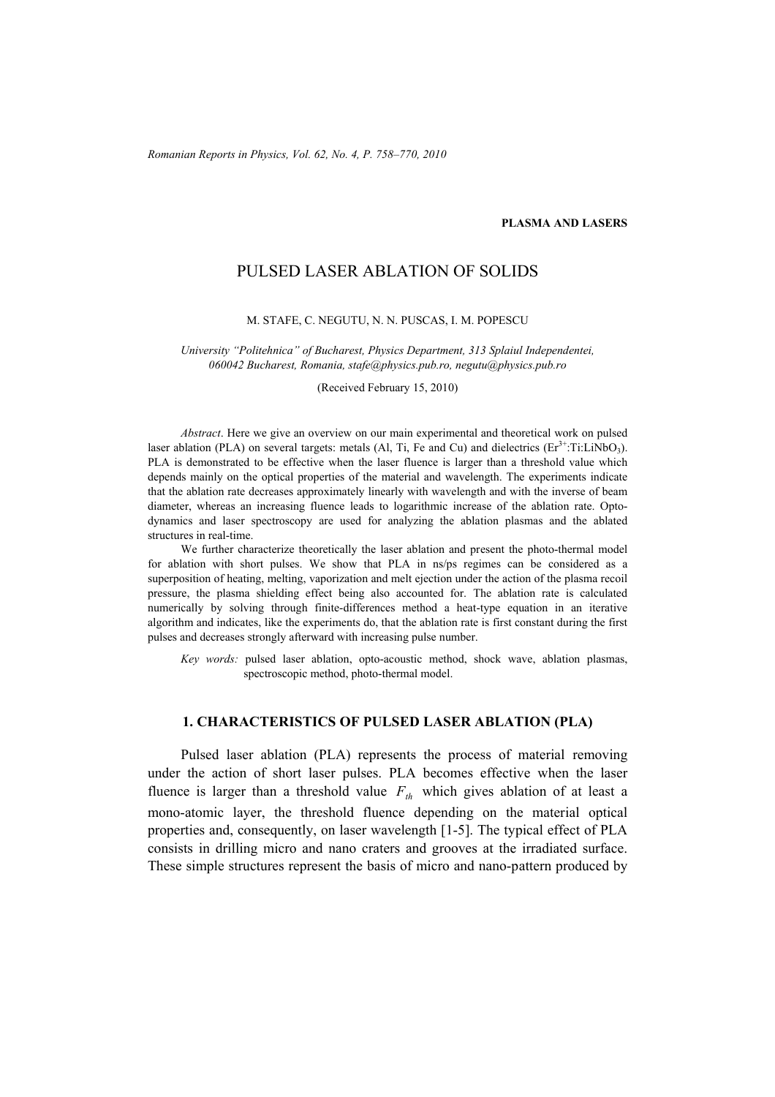### **PLASMA AND LASERS**

# PULSED LASER ABLATION OF SOLIDS

### M. STAFE, C. NEGUTU, N. N. PUSCAS, I. M. POPESCU

*University "Politehnica" of Bucharest, Physics Department, 313 Splaiul Independentei, 060042 Bucharest, Romania, stafe@physics.pub.ro, negutu@physics.pub.ro*

(Received February 15, 2010)

*Abstract*. Here we give an overview on our main experimental and theoretical work on pulsed laser ablation (PLA) on several targets: metals (Al, Ti, Fe and Cu) and dielectrics  $(Er^{3+}$ :Ti:LiNbO<sub>3</sub>). PLA is demonstrated to be effective when the laser fluence is larger than a threshold value which depends mainly on the optical properties of the material and wavelength. The experiments indicate that the ablation rate decreases approximately linearly with wavelength and with the inverse of beam diameter, whereas an increasing fluence leads to logarithmic increase of the ablation rate. Optodynamics and laser spectroscopy are used for analyzing the ablation plasmas and the ablated structures in real-time.

We further characterize theoretically the laser ablation and present the photo-thermal model for ablation with short pulses. We show that PLA in ns/ps regimes can be considered as a superposition of heating, melting, vaporization and melt ejection under the action of the plasma recoil pressure, the plasma shielding effect being also accounted for. The ablation rate is calculated numerically by solving through finite-differences method a heat-type equation in an iterative algorithm and indicates, like the experiments do, that the ablation rate is first constant during the first pulses and decreases strongly afterward with increasing pulse number.

*Key words:* pulsed laser ablation, opto-acoustic method, shock wave, ablation plasmas, spectroscopic method, photo-thermal model.

## **1. CHARACTERISTICS OF PULSED LASER ABLATION (PLA)**

Pulsed laser ablation (PLA) represents the process of material removing under the action of short laser pulses. PLA becomes effective when the laser fluence is larger than a threshold value  $F<sub>th</sub>$  which gives ablation of at least a mono-atomic layer, the threshold fluence depending on the material optical properties and, consequently, on laser wavelength [1-5]. The typical effect of PLA consists in drilling micro and nano craters and grooves at the irradiated surface. These simple structures represent the basis of micro and nano-pattern produced by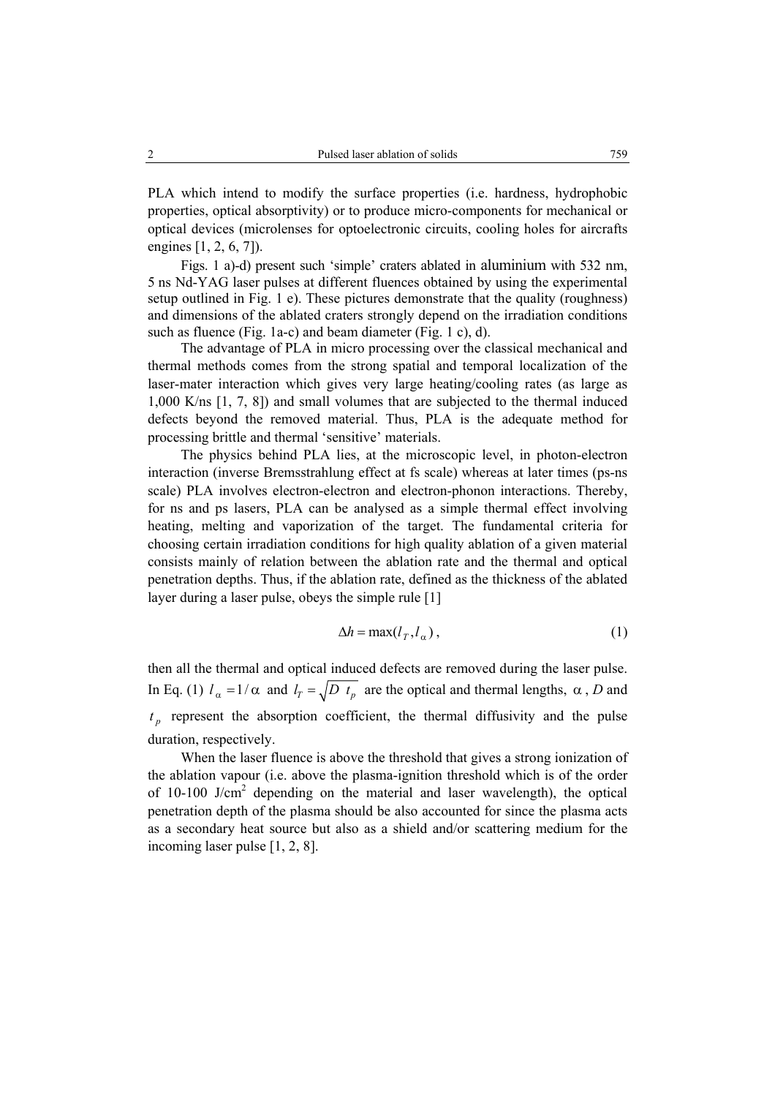PLA which intend to modify the surface properties (i.e. hardness, hydrophobic properties, optical absorptivity) or to produce micro-components for mechanical or optical devices (microlenses for optoelectronic circuits, cooling holes for aircrafts engines [1, 2, 6, 7]).

Figs. 1 a)-d) present such 'simple' craters ablated in aluminium with 532 nm, 5 ns Nd-YAG laser pulses at different fluences obtained by using the experimental setup outlined in Fig. 1 e). These pictures demonstrate that the quality (roughness) and dimensions of the ablated craters strongly depend on the irradiation conditions such as fluence (Fig. 1a-c) and beam diameter (Fig. 1 c), d).

 The advantage of PLA in micro processing over the classical mechanical and thermal methods comes from the strong spatial and temporal localization of the laser-mater interaction which gives very large heating/cooling rates (as large as 1,000 K/ns [1, 7, 8]) and small volumes that are subjected to the thermal induced defects beyond the removed material. Thus, PLA is the adequate method for processing brittle and thermal 'sensitive' materials.

The physics behind PLA lies, at the microscopic level, in photon-electron interaction (inverse Bremsstrahlung effect at fs scale) whereas at later times (ps-ns scale) PLA involves electron-electron and electron-phonon interactions. Thereby, for ns and ps lasers, PLA can be analysed as a simple thermal effect involving heating, melting and vaporization of the target. The fundamental criteria for choosing certain irradiation conditions for high quality ablation of a given material consists mainly of relation between the ablation rate and the thermal and optical penetration depths. Thus, if the ablation rate, defined as the thickness of the ablated layer during a laser pulse, obeys the simple rule [1]

$$
\Delta h = \max(l_T, l_\alpha), \tag{1}
$$

then all the thermal and optical induced defects are removed during the laser pulse. In Eq. (1)  $l_a = 1/\alpha$  and  $l_f = \sqrt{D t_a}$  are the optical and thermal lengths,  $\alpha$ , *D* and  $t_n$  represent the absorption coefficient, the thermal diffusivity and the pulse duration, respectively.

When the laser fluence is above the threshold that gives a strong ionization of the ablation vapour (i.e. above the plasma-ignition threshold which is of the order of  $10-100$  J/cm<sup>2</sup> depending on the material and laser wavelength), the optical penetration depth of the plasma should be also accounted for since the plasma acts as a secondary heat source but also as a shield and/or scattering medium for the incoming laser pulse [1, 2, 8].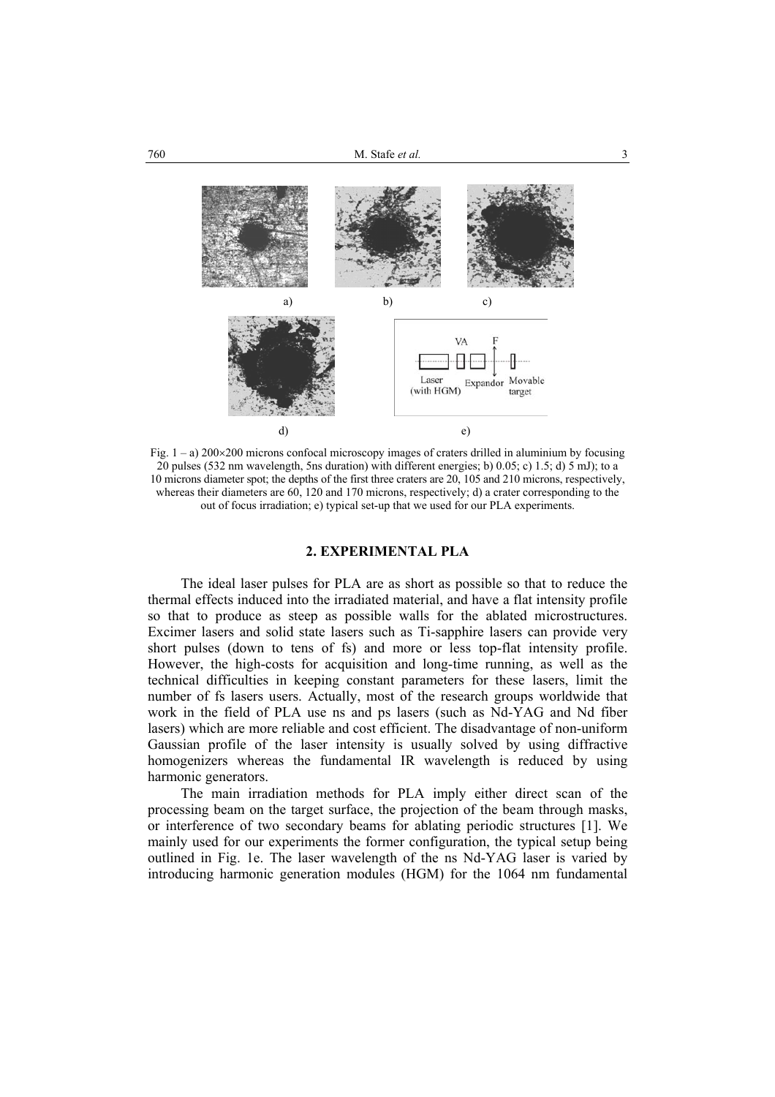

Fig.  $1 - a$ ) 200×200 microns confocal microscopy images of craters drilled in aluminium by focusing 20 pulses (532 nm wavelength, 5ns duration) with different energies; b) 0.05; c) 1.5; d) 5 mJ); to a 10 microns diameter spot; the depths of the first three craters are 20, 105 and 210 microns, respectively, whereas their diameters are 60, 120 and 170 microns, respectively; d) a crater corresponding to the out of focus irradiation; e) typical set-up that we used for our PLA experiments.

## **2. EXPERIMENTAL PLA**

The ideal laser pulses for PLA are as short as possible so that to reduce the thermal effects induced into the irradiated material, and have a flat intensity profile so that to produce as steep as possible walls for the ablated microstructures. Excimer lasers and solid state lasers such as Ti-sapphire lasers can provide very short pulses (down to tens of fs) and more or less top-flat intensity profile. However, the high-costs for acquisition and long-time running, as well as the technical difficulties in keeping constant parameters for these lasers, limit the number of fs lasers users. Actually, most of the research groups worldwide that work in the field of PLA use ns and ps lasers (such as Nd-YAG and Nd fiber lasers) which are more reliable and cost efficient. The disadvantage of non-uniform Gaussian profile of the laser intensity is usually solved by using diffractive homogenizers whereas the fundamental IR wavelength is reduced by using harmonic generators.

 The main irradiation methods for PLA imply either direct scan of the processing beam on the target surface, the projection of the beam through masks, or interference of two secondary beams for ablating periodic structures [1]. We mainly used for our experiments the former configuration, the typical setup being outlined in Fig. 1e. The laser wavelength of the ns Nd-YAG laser is varied by introducing harmonic generation modules (HGM) for the 1064 nm fundamental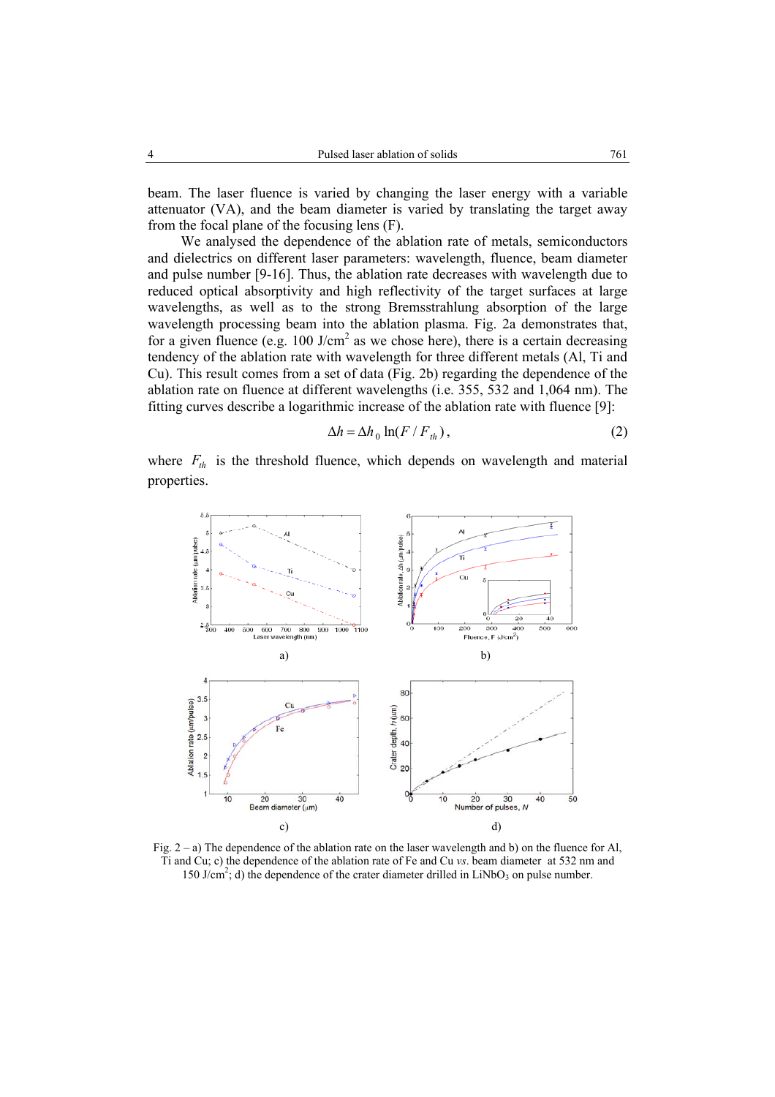beam. The laser fluence is varied by changing the laser energy with a variable attenuator (VA), and the beam diameter is varied by translating the target away from the focal plane of the focusing lens (F).

 We analysed the dependence of the ablation rate of metals, semiconductors and dielectrics on different laser parameters: wavelength, fluence, beam diameter and pulse number [9-16]. Thus, the ablation rate decreases with wavelength due to reduced optical absorptivity and high reflectivity of the target surfaces at large wavelengths, as well as to the strong Bremsstrahlung absorption of the large wavelength processing beam into the ablation plasma. Fig. 2a demonstrates that, for a given fluence (e.g.  $100 \text{ J/cm}^2$  as we chose here), there is a certain decreasing tendency of the ablation rate with wavelength for three different metals (Al, Ti and Cu). This result comes from a set of data (Fig. 2b) regarding the dependence of the ablation rate on fluence at different wavelengths (i.e. 355, 532 and 1,064 nm). The fitting curves describe a logarithmic increase of the ablation rate with fluence [9]:

$$
\Delta h = \Delta h_0 \ln(F / F_{th}), \qquad (2)
$$

where  $F_{th}$  is the threshold fluence, which depends on wavelength and material properties.



Fig. 2 – a) The dependence of the ablation rate on the laser wavelength and b) on the fluence for Al, Ti and Cu; c) the dependence of the ablation rate of Fe and Cu *vs*. beam diameter at 532 nm and 150 J/cm<sup>2</sup>; d) the dependence of the crater diameter drilled in LiNbO<sub>3</sub> on pulse number.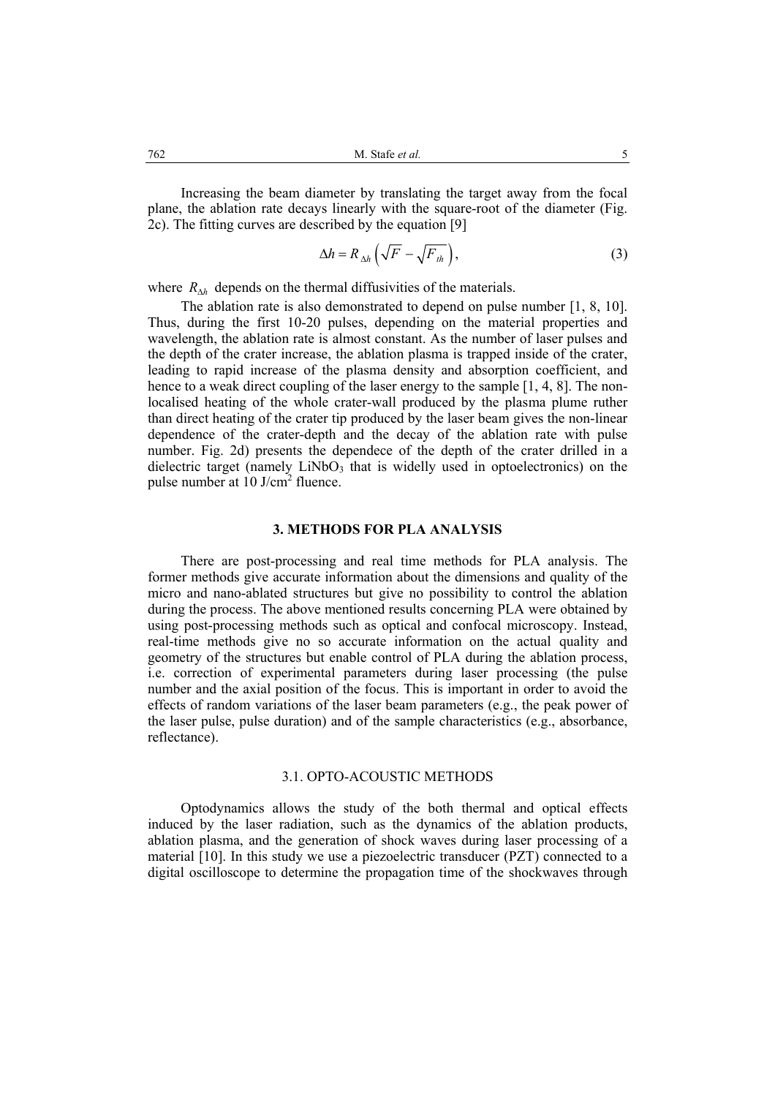Increasing the beam diameter by translating the target away from the focal plane, the ablation rate decays linearly with the square-root of the diameter (Fig. 2c). The fitting curves are described by the equation [9]

$$
\Delta h = R_{\Delta h} \left( \sqrt{F} - \sqrt{F_{th}} \right),\tag{3}
$$

where  $R_{\Delta h}$  depends on the thermal diffusivities of the materials.

The ablation rate is also demonstrated to depend on pulse number [1, 8, 10]. Thus, during the first 10-20 pulses, depending on the material properties and wavelength, the ablation rate is almost constant. As the number of laser pulses and the depth of the crater increase, the ablation plasma is trapped inside of the crater, leading to rapid increase of the plasma density and absorption coefficient, and hence to a weak direct coupling of the laser energy to the sample [1, 4, 8]. The nonlocalised heating of the whole crater-wall produced by the plasma plume ruther than direct heating of the crater tip produced by the laser beam gives the non-linear dependence of the crater-depth and the decay of the ablation rate with pulse number. Fig. 2d) presents the dependece of the depth of the crater drilled in a dielectric target (namely  $LiNbO<sub>3</sub>$  that is widelly used in optoelectronics) on the pulse number at 10 J/cm<sup>2</sup> fluence.

#### **3. METHODS FOR PLA ANALYSIS**

There are post-processing and real time methods for PLA analysis. The former methods give accurate information about the dimensions and quality of the micro and nano-ablated structures but give no possibility to control the ablation during the process. The above mentioned results concerning PLA were obtained by using post-processing methods such as optical and confocal microscopy. Instead, real-time methods give no so accurate information on the actual quality and geometry of the structures but enable control of PLA during the ablation process, i.e. correction of experimental parameters during laser processing (the pulse number and the axial position of the focus. This is important in order to avoid the effects of random variations of the laser beam parameters (e.g., the peak power of the laser pulse, pulse duration) and of the sample characteristics (e.g., absorbance, reflectance).

# 3.1. OPTO-ACOUSTIC METHODS

Optodynamics allows the study of the both thermal and optical effects induced by the laser radiation, such as the dynamics of the ablation products, ablation plasma, and the generation of shock waves during laser processing of a material [10]. In this study we use a piezoelectric transducer (PZT) connected to a digital oscilloscope to determine the propagation time of the shockwaves through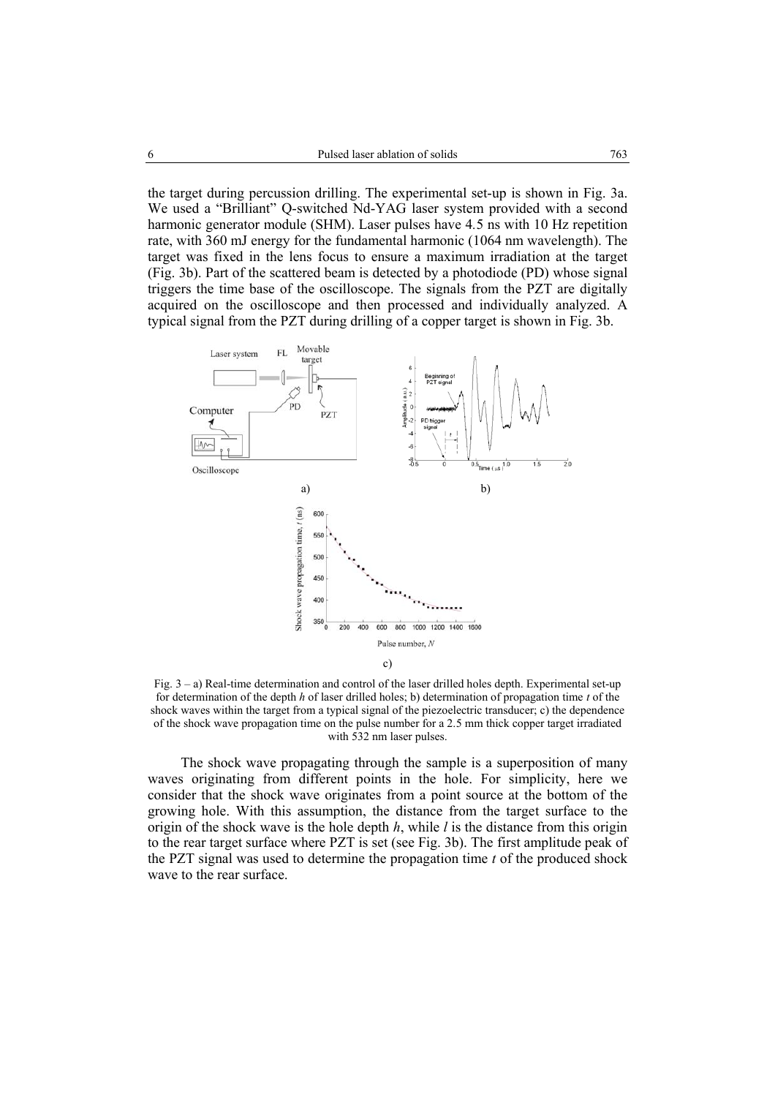the target during percussion drilling. The experimental set-up is shown in Fig. 3a. We used a "Brilliant" Q-switched Nd-YAG laser system provided with a second harmonic generator module (SHM). Laser pulses have 4*.*5 ns with 10 Hz repetition rate, with 360 mJ energy for the fundamental harmonic (1064 nm wavelength). The target was fixed in the lens focus to ensure a maximum irradiation at the target (Fig. 3b). Part of the scattered beam is detected by a photodiode (PD) whose signal triggers the time base of the oscilloscope. The signals from the PZT are digitally acquired on the oscilloscope and then processed and individually analyzed. A typical signal from the PZT during drilling of a copper target is shown in Fig. 3b.



Fig. 3 – a) Real-time determination and control of the laser drilled holes depth. Experimental set-up for determination of the depth *h* of laser drilled holes; b) determination of propagation time *t* of the shock waves within the target from a typical signal of the piezoelectric transducer; c) the dependence of the shock wave propagation time on the pulse number for a 2.5 mm thick copper target irradiated with 532 nm laser pulses.

The shock wave propagating through the sample is a superposition of many waves originating from different points in the hole. For simplicity, here we consider that the shock wave originates from a point source at the bottom of the growing hole. With this assumption, the distance from the target surface to the origin of the shock wave is the hole depth *h*, while *l* is the distance from this origin to the rear target surface where PZT is set (see Fig. 3b). The first amplitude peak of the PZT signal was used to determine the propagation time *t* of the produced shock wave to the rear surface.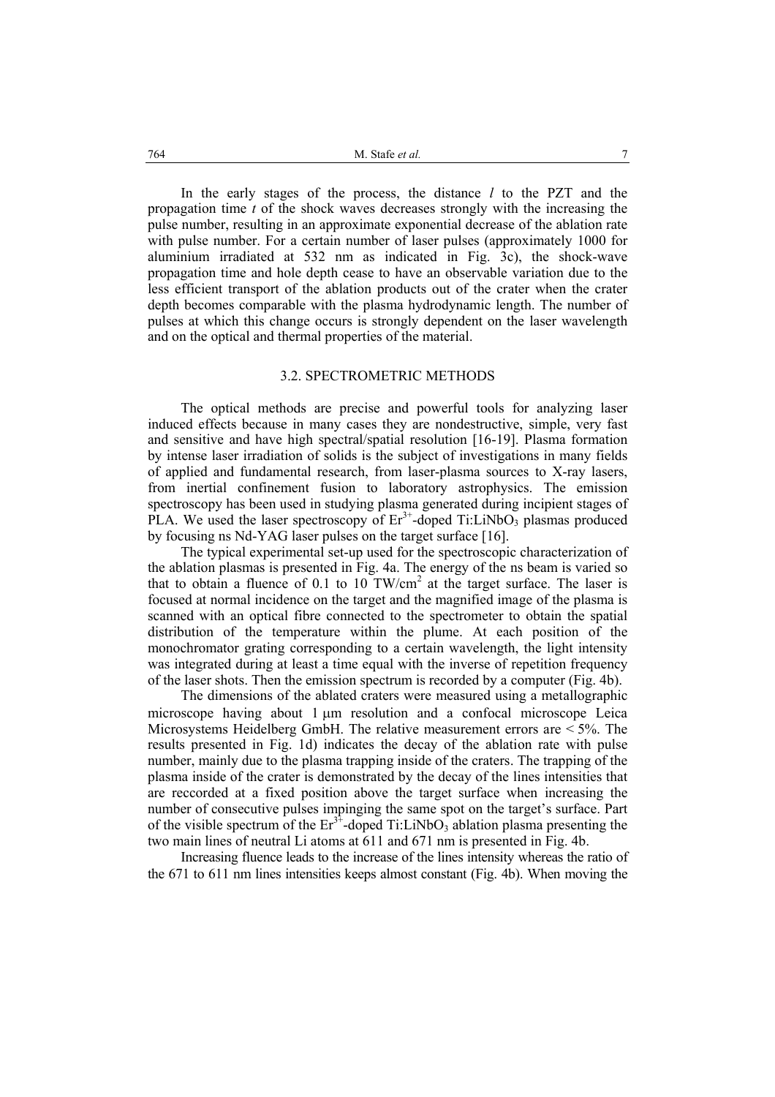In the early stages of the process, the distance *l* to the PZT and the propagation time *t* of the shock waves decreases strongly with the increasing the pulse number, resulting in an approximate exponential decrease of the ablation rate with pulse number. For a certain number of laser pulses (approximately 1000 for aluminium irradiated at 532 nm as indicated in Fig. 3c), the shock-wave propagation time and hole depth cease to have an observable variation due to the less efficient transport of the ablation products out of the crater when the crater depth becomes comparable with the plasma hydrodynamic length. The number of pulses at which this change occurs is strongly dependent on the laser wavelength and on the optical and thermal properties of the material.

### 3.2. SPECTROMETRIC METHODS

The optical methods are precise and powerful tools for analyzing laser induced effects because in many cases they are nondestructive, simple, very fast and sensitive and have high spectral/spatial resolution [16-19]. Plasma formation by intense laser irradiation of solids is the subject of investigations in many fields of applied and fundamental research, from laser-plasma sources to X-ray lasers, from inertial confinement fusion to laboratory astrophysics. The emission spectroscopy has been used in studying plasma generated during incipient stages of PLA. We used the laser spectroscopy of  $Er<sup>3+</sup>$ -doped Ti:LiNbO<sub>3</sub> plasmas produced by focusing ns Nd-YAG laser pulses on the target surface [16].

 The typical experimental set-up used for the spectroscopic characterization of the ablation plasmas is presented in Fig. 4a. The energy of the ns beam is varied so that to obtain a fluence of 0.1 to 10 TW/cm<sup>2</sup> at the target surface. The laser is focused at normal incidence on the target and the magnified image of the plasma is scanned with an optical fibre connected to the spectrometer to obtain the spatial distribution of the temperature within the plume. At each position of the monochromator grating corresponding to a certain wavelength, the light intensity was integrated during at least a time equal with the inverse of repetition frequency of the laser shots. Then the emission spectrum is recorded by a computer (Fig. 4b).

The dimensions of the ablated craters were measured using a metallographic microscope having about 1 µm resolution and a confocal microscope Leica Microsystems Heidelberg GmbH. The relative measurement errors are < 5%. The results presented in Fig. 1d) indicates the decay of the ablation rate with pulse number, mainly due to the plasma trapping inside of the craters. The trapping of the plasma inside of the crater is demonstrated by the decay of the lines intensities that are reccorded at a fixed position above the target surface when increasing the number of consecutive pulses impinging the same spot on the target's surface. Part of the visible spectrum of the  $Er^{3+}$ -doped Ti:LiNbO<sub>3</sub> ablation plasma presenting the two main lines of neutral Li atoms at 611 and 671 nm is presented in Fig. 4b.

Increasing fluence leads to the increase of the lines intensity whereas the ratio of the 671 to 611 nm lines intensities keeps almost constant (Fig. 4b). When moving the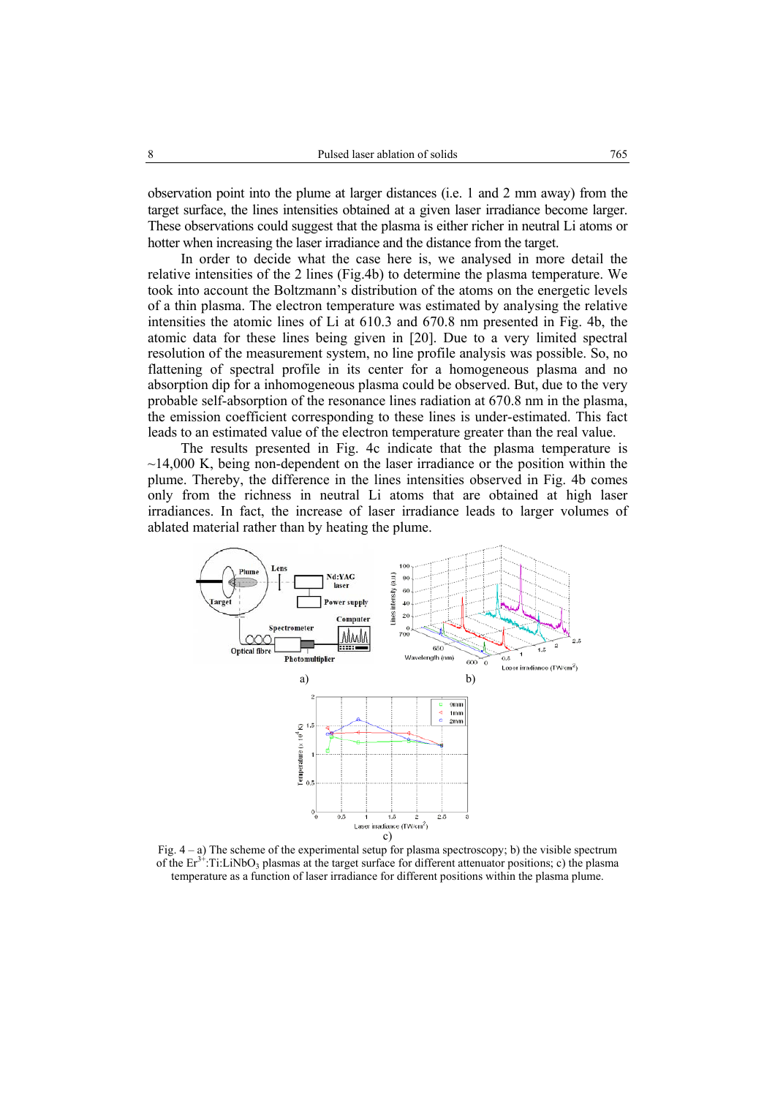observation point into the plume at larger distances (i.e. 1 and 2 mm away) from the target surface, the lines intensities obtained at a given laser irradiance become larger. These observations could suggest that the plasma is either richer in neutral Li atoms or hotter when increasing the laser irradiance and the distance from the target.

In order to decide what the case here is, we analysed in more detail the relative intensities of the 2 lines (Fig.4b) to determine the plasma temperature. We took into account the Boltzmann's distribution of the atoms on the energetic levels of a thin plasma. The electron temperature was estimated by analysing the relative intensities the atomic lines of Li at 610.3 and 670.8 nm presented in Fig. 4b, the atomic data for these lines being given in [20]. Due to a very limited spectral resolution of the measurement system, no line profile analysis was possible. So, no flattening of spectral profile in its center for a homogeneous plasma and no absorption dip for a inhomogeneous plasma could be observed. But, due to the very probable self-absorption of the resonance lines radiation at 670.8 nm in the plasma, the emission coefficient corresponding to these lines is under-estimated. This fact leads to an estimated value of the electron temperature greater than the real value.

The results presented in Fig. 4c indicate that the plasma temperature is  $\sim$ 14,000 K, being non-dependent on the laser irradiance or the position within the plume. Thereby, the difference in the lines intensities observed in Fig. 4b comes only from the richness in neutral Li atoms that are obtained at high laser irradiances. In fact, the increase of laser irradiance leads to larger volumes of ablated material rather than by heating the plume.



Fig.  $4 - a$ ) The scheme of the experimental setup for plasma spectroscopy; b) the visible spectrum of the  $Er^{3+}$ :Ti:LiNbO<sub>3</sub> plasmas at the target surface for different attenuator positions; c) the plasma temperature as a function of laser irradiance for different positions within the plasma plume.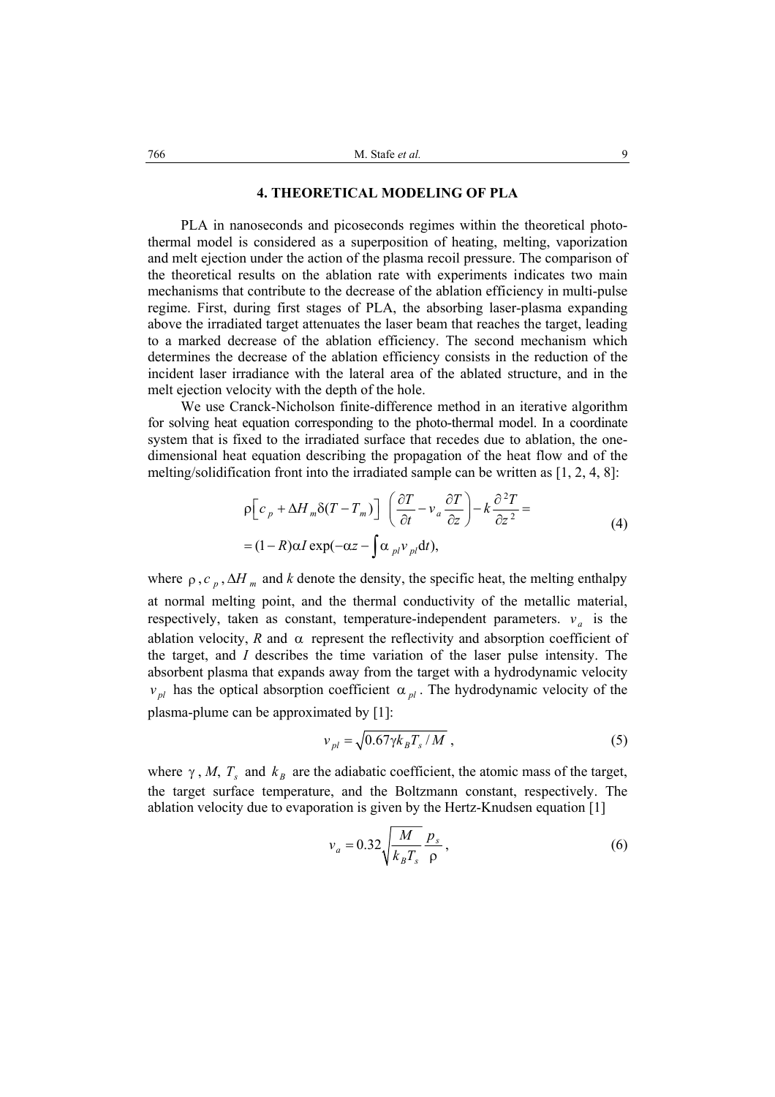### **4. THEORETICAL MODELING OF PLA**

PLA in nanoseconds and picoseconds regimes within the theoretical photothermal model is considered as a superposition of heating, melting, vaporization and melt ejection under the action of the plasma recoil pressure. The comparison of the theoretical results on the ablation rate with experiments indicates two main mechanisms that contribute to the decrease of the ablation efficiency in multi-pulse regime. First, during first stages of PLA, the absorbing laser-plasma expanding above the irradiated target attenuates the laser beam that reaches the target, leading to a marked decrease of the ablation efficiency. The second mechanism which determines the decrease of the ablation efficiency consists in the reduction of the incident laser irradiance with the lateral area of the ablated structure, and in the melt ejection velocity with the depth of the hole.

 We use Cranck-Nicholson finite-difference method in an iterative algorithm for solving heat equation corresponding to the photo-thermal model. In a coordinate system that is fixed to the irradiated surface that recedes due to ablation, the onedimensional heat equation describing the propagation of the heat flow and of the melting/solidification front into the irradiated sample can be written as [1, 2, 4, 8]:

$$
\rho \Big[ c_p + \Delta H_m \delta (T - T_m) \Big] \left( \frac{\partial T}{\partial t} - v_a \frac{\partial T}{\partial z} \right) - k \frac{\partial^2 T}{\partial z^2} =
$$
  
= (1 - R)\alpha I \exp(-\alpha z - \int \alpha\_{pl} v\_{pl} dt), (4)

where  $\rho$ ,  $c_n$ ,  $\Delta H_m$  and *k* denote the density, the specific heat, the melting enthalpy at normal melting point, and the thermal conductivity of the metallic material, respectively, taken as constant, temperature-independent parameters.  $v_a$  is the ablation velocity, *R* and  $\alpha$  represent the reflectivity and absorption coefficient of the target, and *I* describes the time variation of the laser pulse intensity. The absorbent plasma that expands away from the target with a hydrodynamic velocity *v*<sub>*pl</sub>* has the optical absorption coefficient  $\alpha$ <sub>*pl*</sub>. The hydrodynamic velocity of the</sub> plasma-plume can be approximated by [1]:

$$
v_{pl} = \sqrt{0.67 \gamma k_B T_s / M} \tag{5}
$$

where  $\gamma$ , *M*,  $T_s$  and  $k_B$  are the adiabatic coefficient, the atomic mass of the target, the target surface temperature, and the Boltzmann constant, respectively. The ablation velocity due to evaporation is given by the Hertz-Knudsen equation [1]

$$
v_a = 0.32 \sqrt{\frac{M}{k_B T_s}} \frac{p_s}{\rho},\tag{6}
$$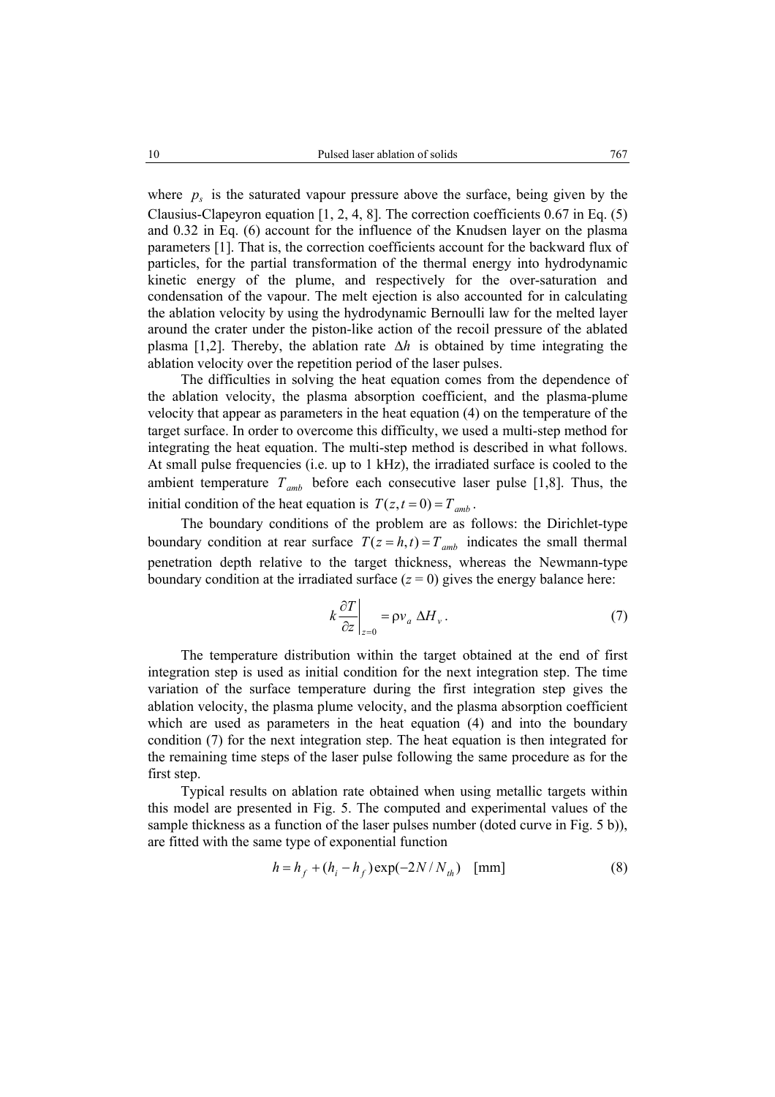where  $p<sub>s</sub>$  is the saturated vapour pressure above the surface, being given by the Clausius-Clapeyron equation [1, 2, 4, 8]. The correction coefficients 0.67 in Eq. (5) and 0.32 in Eq. (6) account for the influence of the Knudsen layer on the plasma parameters [1]. That is, the correction coefficients account for the backward flux of particles, for the partial transformation of the thermal energy into hydrodynamic kinetic energy of the plume, and respectively for the over-saturation and condensation of the vapour. The melt ejection is also accounted for in calculating the ablation velocity by using the hydrodynamic Bernoulli law for the melted layer around the crater under the piston-like action of the recoil pressure of the ablated plasma [1,2]. Thereby, the ablation rate ∆*h* is obtained by time integrating the ablation velocity over the repetition period of the laser pulses.

 The difficulties in solving the heat equation comes from the dependence of the ablation velocity, the plasma absorption coefficient, and the plasma-plume velocity that appear as parameters in the heat equation (4) on the temperature of the target surface. In order to overcome this difficulty, we used a multi-step method for integrating the heat equation. The multi-step method is described in what follows. At small pulse frequencies (i.e. up to 1 kHz), the irradiated surface is cooled to the ambient temperature  $T_{amb}$  before each consecutive laser pulse [1,8]. Thus, the initial condition of the heat equation is  $T(z, t = 0) = T_{amb}$ .

 The boundary conditions of the problem are as follows: the Dirichlet-type boundary condition at rear surface  $T(z = h, t) = T_{amb}$  indicates the small thermal penetration depth relative to the target thickness, whereas the Newmann-type boundary condition at the irradiated surface  $(z = 0)$  gives the energy balance here:

$$
k\frac{\partial T}{\partial z}\bigg|_{z=0} = \rho v_a \Delta H_v.
$$
 (7)

 The temperature distribution within the target obtained at the end of first integration step is used as initial condition for the next integration step. The time variation of the surface temperature during the first integration step gives the ablation velocity, the plasma plume velocity, and the plasma absorption coefficient which are used as parameters in the heat equation (4) and into the boundary condition (7) for the next integration step. The heat equation is then integrated for the remaining time steps of the laser pulse following the same procedure as for the first step.

 Typical results on ablation rate obtained when using metallic targets within this model are presented in Fig. 5. The computed and experimental values of the sample thickness as a function of the laser pulses number (doted curve in Fig. 5 b)), are fitted with the same type of exponential function

$$
h = h_f + (h_i - h_f) \exp(-2N/N_{th}) \text{ [mm]}
$$
 (8)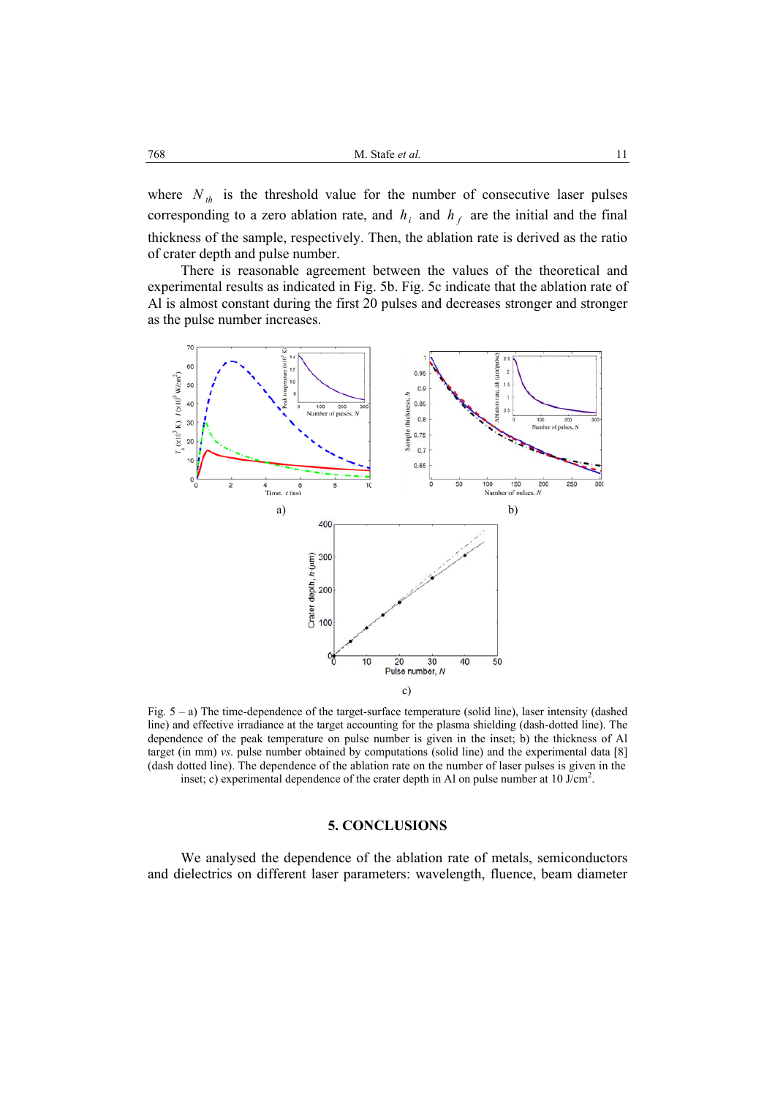where  $N_{th}$  is the threshold value for the number of consecutive laser pulses corresponding to a zero ablation rate, and  $h_i$  and  $h_f$  are the initial and the final thickness of the sample, respectively. Then, the ablation rate is derived as the ratio of crater depth and pulse number.

 There is reasonable agreement between the values of the theoretical and experimental results as indicated in Fig. 5b. Fig. 5c indicate that the ablation rate of Al is almost constant during the first 20 pulses and decreases stronger and stronger as the pulse number increases.



Fig. 5 – a) The time-dependence of the target-surface temperature (solid line), laser intensity (dashed line) and effective irradiance at the target accounting for the plasma shielding (dash-dotted line). The dependence of the peak temperature on pulse number is given in the inset; b) the thickness of Al target (in mm) *vs*. pulse number obtained by computations (solid line) and the experimental data [8] (dash dotted line). The dependence of the ablation rate on the number of laser pulses is given in the inset; c) experimental dependence of the crater depth in Al on pulse number at  $10 \text{ J/cm}^2$ .

### **5. CONCLUSIONS**

We analysed the dependence of the ablation rate of metals, semiconductors and dielectrics on different laser parameters: wavelength, fluence, beam diameter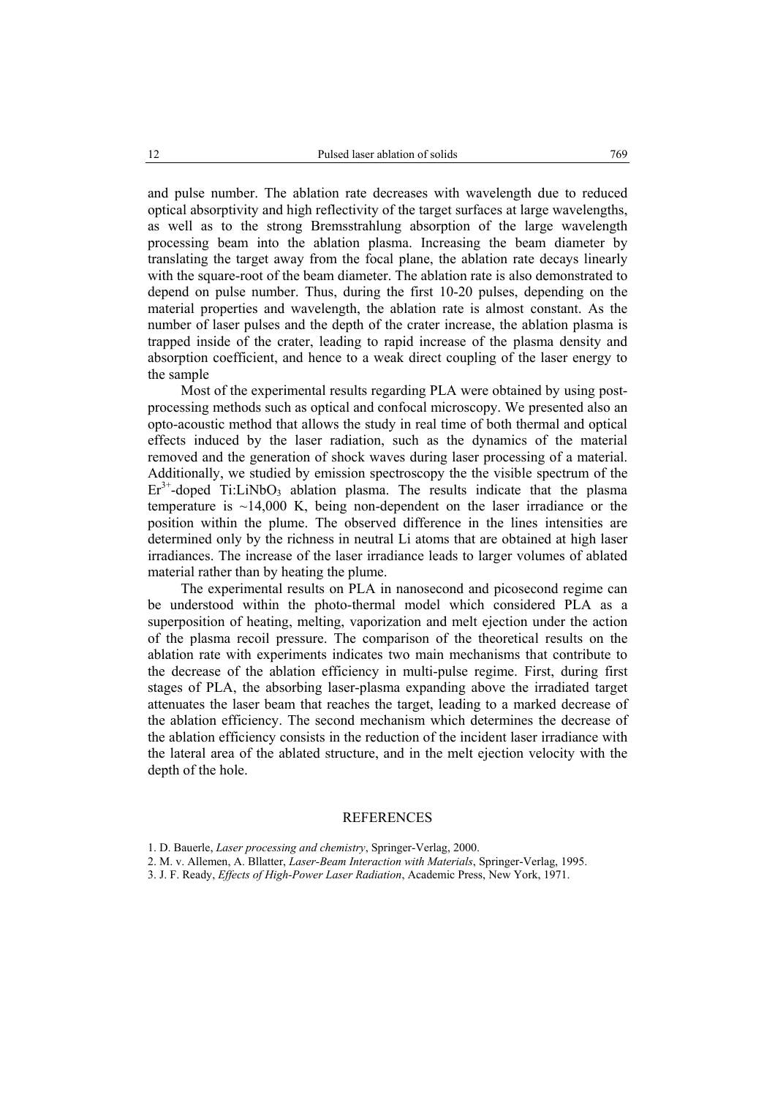and pulse number. The ablation rate decreases with wavelength due to reduced optical absorptivity and high reflectivity of the target surfaces at large wavelengths, as well as to the strong Bremsstrahlung absorption of the large wavelength processing beam into the ablation plasma. Increasing the beam diameter by translating the target away from the focal plane, the ablation rate decays linearly with the square-root of the beam diameter. The ablation rate is also demonstrated to depend on pulse number. Thus, during the first 10-20 pulses, depending on the material properties and wavelength, the ablation rate is almost constant. As the number of laser pulses and the depth of the crater increase, the ablation plasma is trapped inside of the crater, leading to rapid increase of the plasma density and absorption coefficient, and hence to a weak direct coupling of the laser energy to the sample

Most of the experimental results regarding PLA were obtained by using postprocessing methods such as optical and confocal microscopy. We presented also an opto-acoustic method that allows the study in real time of both thermal and optical effects induced by the laser radiation, such as the dynamics of the material removed and the generation of shock waves during laser processing of a material. Additionally, we studied by emission spectroscopy the the visible spectrum of the  $Er<sup>3+</sup>$ -doped Ti:LiNbO<sub>3</sub> ablation plasma. The results indicate that the plasma temperature is ~14,000 K, being non-dependent on the laser irradiance or the position within the plume. The observed difference in the lines intensities are determined only by the richness in neutral Li atoms that are obtained at high laser irradiances. The increase of the laser irradiance leads to larger volumes of ablated material rather than by heating the plume.

The experimental results on PLA in nanosecond and picosecond regime can be understood within the photo-thermal model which considered PLA as a superposition of heating, melting, vaporization and melt ejection under the action of the plasma recoil pressure. The comparison of the theoretical results on the ablation rate with experiments indicates two main mechanisms that contribute to the decrease of the ablation efficiency in multi-pulse regime. First, during first stages of PLA, the absorbing laser-plasma expanding above the irradiated target attenuates the laser beam that reaches the target, leading to a marked decrease of the ablation efficiency. The second mechanism which determines the decrease of the ablation efficiency consists in the reduction of the incident laser irradiance with the lateral area of the ablated structure, and in the melt ejection velocity with the depth of the hole.

#### REFERENCES

<sup>1.</sup> D. Bauerle, *Laser processing and chemistry*, Springer-Verlag, 2000.

<sup>2.</sup> M. v. Allemen, A. Bllatter, *Laser-Beam Interaction with Materials*, Springer-Verlag, 1995.

<sup>3.</sup> J. F. Ready, *Effects of High-Power Laser Radiation*, Academic Press, New York, 1971.